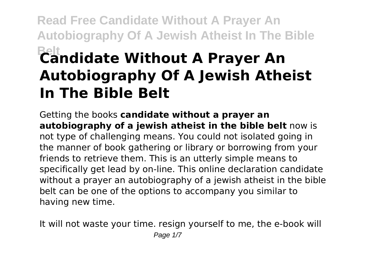# **Read Free Candidate Without A Prayer An Autobiography Of A Jewish Atheist In The Bible Belt Candidate Without A Prayer An Autobiography Of A Jewish Atheist In The Bible Belt**

Getting the books **candidate without a prayer an autobiography of a jewish atheist in the bible belt** now is not type of challenging means. You could not isolated going in the manner of book gathering or library or borrowing from your friends to retrieve them. This is an utterly simple means to specifically get lead by on-line. This online declaration candidate without a prayer an autobiography of a jewish atheist in the bible belt can be one of the options to accompany you similar to having new time.

It will not waste your time. resign yourself to me, the e-book will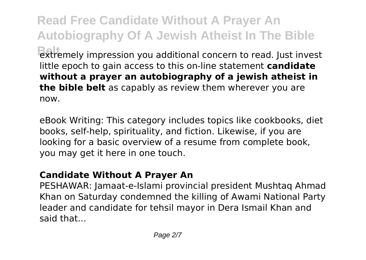**Read Free Candidate Without A Prayer An Autobiography Of A Jewish Atheist In The Bible** extremely impression you additional concern to read. Just invest little epoch to gain access to this on-line statement **candidate without a prayer an autobiography of a jewish atheist in the bible belt** as capably as review them wherever you are now.

eBook Writing: This category includes topics like cookbooks, diet books, self-help, spirituality, and fiction. Likewise, if you are looking for a basic overview of a resume from complete book, you may get it here in one touch.

#### **Candidate Without A Prayer An**

PESHAWAR: Jamaat-e-Islami provincial president Mushtaq Ahmad Khan on Saturday condemned the killing of Awami National Party leader and candidate for tehsil mayor in Dera Ismail Khan and said that...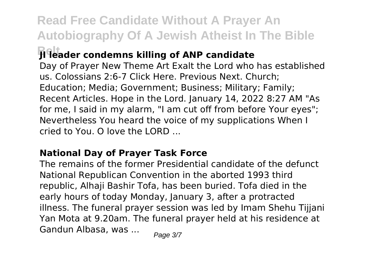**Read Free Candidate Without A Prayer An Autobiography Of A Jewish Atheist In The Bible**

### **Belt JI leader condemns killing of ANP candidate**

Day of Prayer New Theme Art Exalt the Lord who has established us. Colossians 2:6-7 Click Here. Previous Next. Church; Education; Media; Government; Business; Military; Family; Recent Articles. Hope in the Lord. January 14, 2022 8:27 AM "As for me, I said in my alarm, "I am cut off from before Your eyes"; Nevertheless You heard the voice of my supplications When I  $\overline{\text{cried to You}}$   $\overline{\text{O}}$  love the LORD

#### **National Day of Prayer Task Force**

The remains of the former Presidential candidate of the defunct National Republican Convention in the aborted 1993 third republic, Alhaji Bashir Tofa, has been buried. Tofa died in the early hours of today Monday, January 3, after a protracted illness. The funeral prayer session was led by Imam Shehu Tijjani Yan Mota at 9.20am. The funeral prayer held at his residence at Gandun Albasa, was ... Page 3/7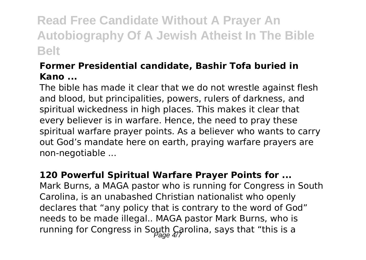# **Read Free Candidate Without A Prayer An Autobiography Of A Jewish Atheist In The Bible Belt**

#### **Former Presidential candidate, Bashir Tofa buried in Kano ...**

The bible has made it clear that we do not wrestle against flesh and blood, but principalities, powers, rulers of darkness, and spiritual wickedness in high places. This makes it clear that every believer is in warfare. Hence, the need to pray these spiritual warfare prayer points. As a believer who wants to carry out God's mandate here on earth, praying warfare prayers are non-negotiable ...

#### **120 Powerful Spiritual Warfare Prayer Points for ...**

Mark Burns, a MAGA pastor who is running for Congress in South Carolina, is an unabashed Christian nationalist who openly declares that "any policy that is contrary to the word of God" needs to be made illegal.. MAGA pastor Mark Burns, who is running for Congress in South Carolina, says that "this is a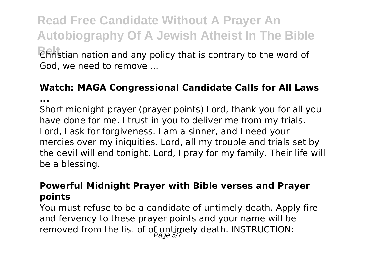**Read Free Candidate Without A Prayer An Autobiography Of A Jewish Atheist In The Bible Belt** Christian nation and any policy that is contrary to the word of God, we need to remove ...

## **Watch: MAGA Congressional Candidate Calls for All Laws**

**...**

Short midnight prayer (prayer points) Lord, thank you for all you have done for me. I trust in you to deliver me from my trials. Lord, I ask for forgiveness. I am a sinner, and I need your mercies over my iniquities. Lord, all my trouble and trials set by the devil will end tonight. Lord, I pray for my family. Their life will be a blessing.

#### **Powerful Midnight Prayer with Bible verses and Prayer points**

You must refuse to be a candidate of untimely death. Apply fire and fervency to these prayer points and your name will be removed from the list of of untimely death. INSTRUCTION: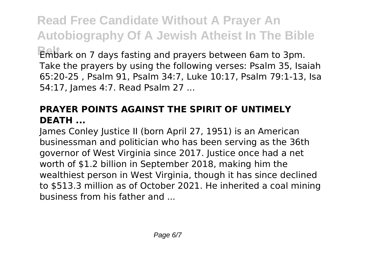**Read Free Candidate Without A Prayer An Autobiography Of A Jewish Atheist In The Bible Belt** Embark on 7 days fasting and prayers between 6am to 3pm. Take the prayers by using the following verses: Psalm 35, Isaiah 65:20-25 , Psalm 91, Psalm 34:7, Luke 10:17, Psalm 79:1-13, Isa 54:17, James 4:7. Read Psalm 27 ...

#### **PRAYER POINTS AGAINST THE SPIRIT OF UNTIMELY DEATH ...**

James Conley Justice II (born April 27, 1951) is an American businessman and politician who has been serving as the 36th governor of West Virginia since 2017. Justice once had a net worth of \$1.2 billion in September 2018, making him the wealthiest person in West Virginia, though it has since declined to \$513.3 million as of October 2021. He inherited a coal mining business from his father and ...